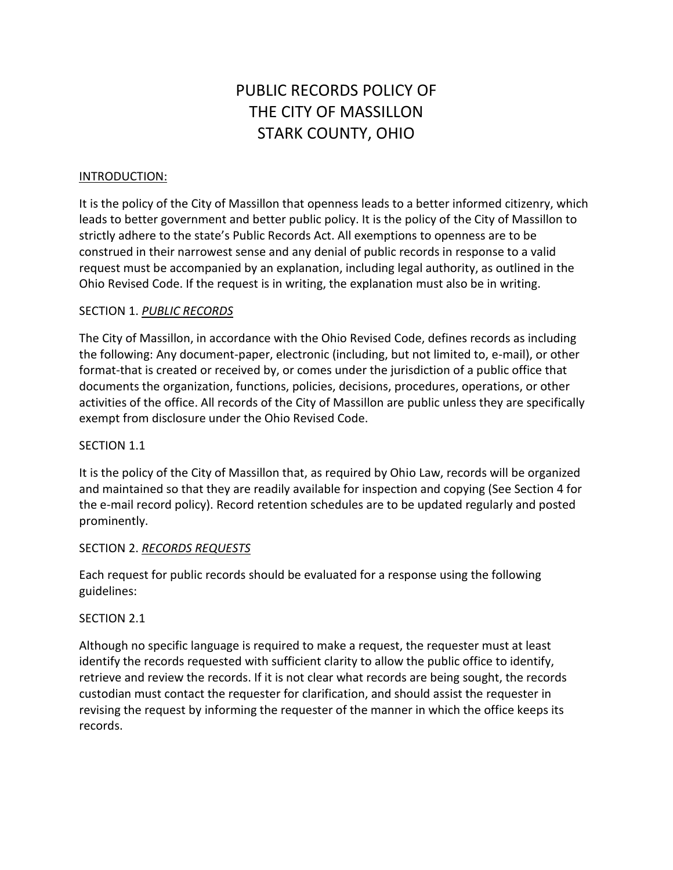# PUBLIC RECORDS POLICY OF THE CITY OF MASSILLON STARK COUNTY, OHIO

## INTRODUCTION:

It is the policy of the City of Massillon that openness leads to a better informed citizenry, which leads to better government and better public policy. It is the policy of the City of Massillon to strictly adhere to the state's Public Records Act. All exemptions to openness are to be construed in their narrowest sense and any denial of public records in response to a valid request must be accompanied by an explanation, including legal authority, as outlined in the Ohio Revised Code. If the request is in writing, the explanation must also be in writing.

## SECTION 1. *PUBLIC RECORDS*

The City of Massillon, in accordance with the Ohio Revised Code, defines records as including the following: Any document-paper, electronic (including, but not limited to, e-mail), or other format-that is created or received by, or comes under the jurisdiction of a public office that documents the organization, functions, policies, decisions, procedures, operations, or other activities of the office. All records of the City of Massillon are public unless they are specifically exempt from disclosure under the Ohio Revised Code.

#### SECTION 1.1

It is the policy of the City of Massillon that, as required by Ohio Law, records will be organized and maintained so that they are readily available for inspection and copying (See Section 4 for the e-mail record policy). Record retention schedules are to be updated regularly and posted prominently.

#### SECTION 2. *RECORDS REQUESTS*

Each request for public records should be evaluated for a response using the following guidelines:

#### SECTION 2.1

Although no specific language is required to make a request, the requester must at least identify the records requested with sufficient clarity to allow the public office to identify, retrieve and review the records. If it is not clear what records are being sought, the records custodian must contact the requester for clarification, and should assist the requester in revising the request by informing the requester of the manner in which the office keeps its records.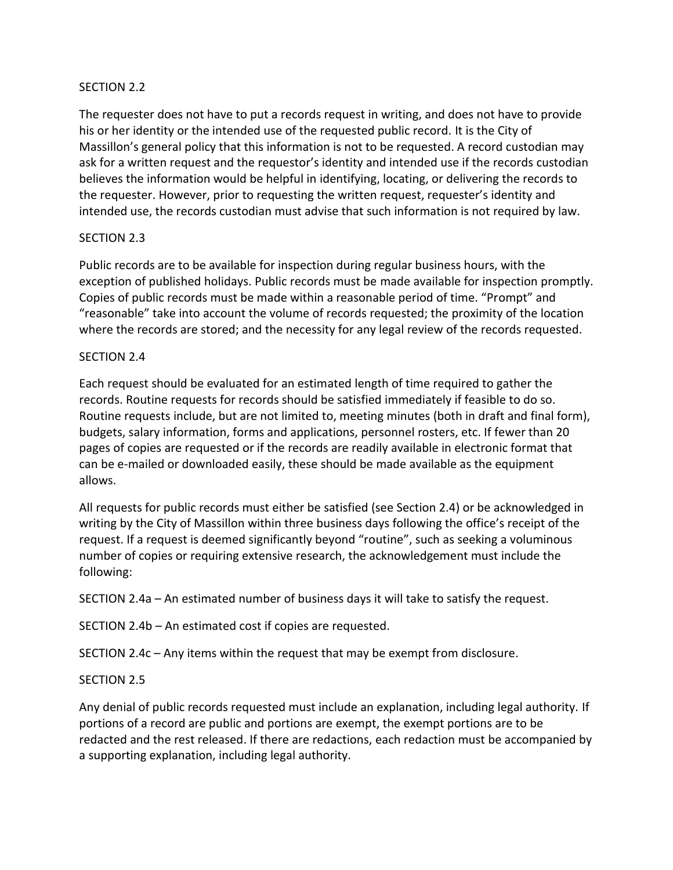## SECTION 2.2

The requester does not have to put a records request in writing, and does not have to provide his or her identity or the intended use of the requested public record. It is the City of Massillon's general policy that this information is not to be requested. A record custodian may ask for a written request and the requestor's identity and intended use if the records custodian believes the information would be helpful in identifying, locating, or delivering the records to the requester. However, prior to requesting the written request, requester's identity and intended use, the records custodian must advise that such information is not required by law.

## SECTION 2.3

Public records are to be available for inspection during regular business hours, with the exception of published holidays. Public records must be made available for inspection promptly. Copies of public records must be made within a reasonable period of time. "Prompt" and "reasonable" take into account the volume of records requested; the proximity of the location where the records are stored; and the necessity for any legal review of the records requested.

#### SECTION 2.4

Each request should be evaluated for an estimated length of time required to gather the records. Routine requests for records should be satisfied immediately if feasible to do so. Routine requests include, but are not limited to, meeting minutes (both in draft and final form), budgets, salary information, forms and applications, personnel rosters, etc. If fewer than 20 pages of copies are requested or if the records are readily available in electronic format that can be e-mailed or downloaded easily, these should be made available as the equipment allows.

All requests for public records must either be satisfied (see Section 2.4) or be acknowledged in writing by the City of Massillon within three business days following the office's receipt of the request. If a request is deemed significantly beyond "routine", such as seeking a voluminous number of copies or requiring extensive research, the acknowledgement must include the following:

SECTION 2.4a – An estimated number of business days it will take to satisfy the request.

SECTION 2.4b – An estimated cost if copies are requested.

SECTION 2.4c – Any items within the request that may be exempt from disclosure.

#### SECTION 2.5

Any denial of public records requested must include an explanation, including legal authority. If portions of a record are public and portions are exempt, the exempt portions are to be redacted and the rest released. If there are redactions, each redaction must be accompanied by a supporting explanation, including legal authority.